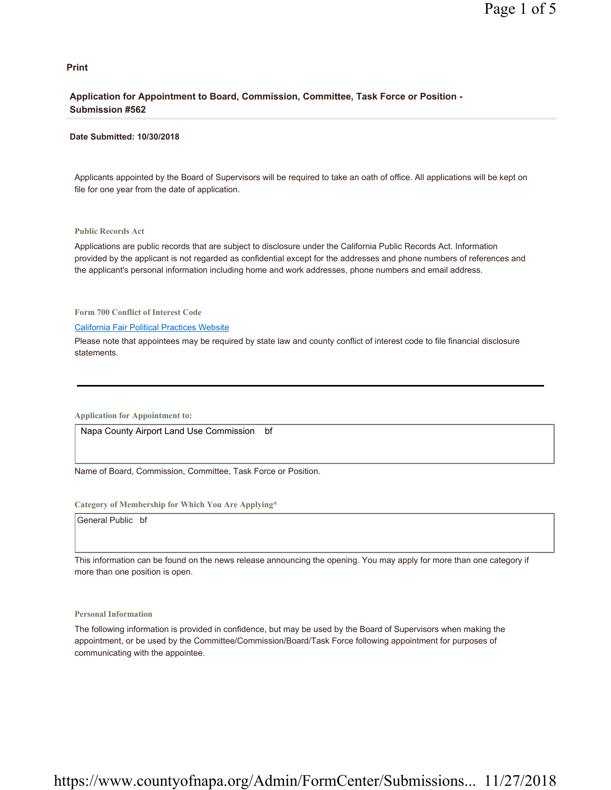#### **Print**

## **Application for Appointment to Board, Commission, Committee, Task Force or Position - Submission #562**

#### **Date Submitted: 10/30/2018**

Applicants appointed by the Board of Supervisors will be required to take an oath of office. All applications will be kept on file for one year from the date of application.

#### **Public Records Act**

Applications are public records that are subject to disclosure under the California Public Records Act. Information provided by the applicant is not regarded as confidential except for the addresses and phone numbers of references and the applicant's personal information including home and work addresses, phone numbers and email address.

**Form 700 Conflict of Interest Code**

#### California Fair Political Practices Website

Please note that appointees may be required by state law and county conflict of interest code to file financial disclosure statements.

**Application for Appointment to:** 

Napa County Airport Land Use Commission bf

Name of Board, Commission, Committee, Task Force or Position.

#### **Category of Membership for Which You Are Applying\***

General Public bf

This information can be found on the news release announcing the opening. You may apply for more than one category if more than one position is open.

#### **Personal Information**

The following information is provided in confidence, but may be used by the Board of Supervisors when making the appointment, or be used by the Committee/Commission/Board/Task Force following appointment for purposes of communicating with the appointee.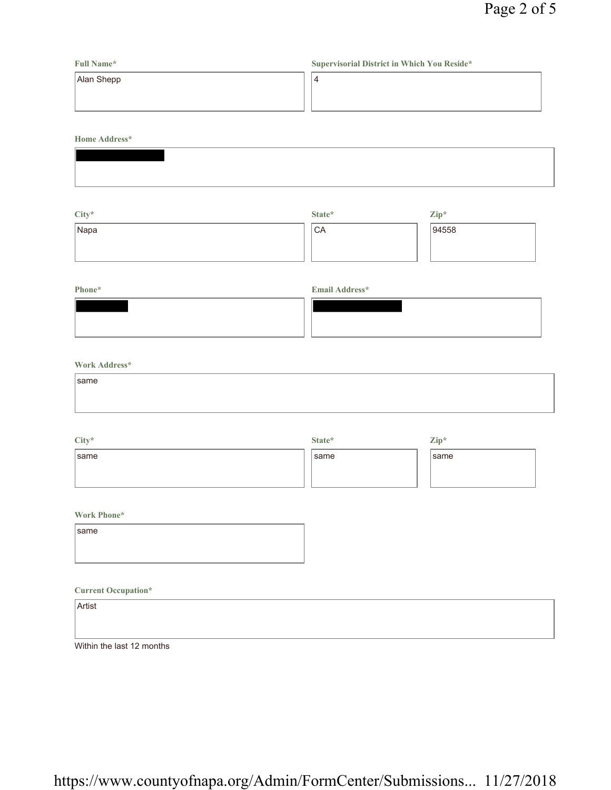## **Full Name\*** Alan Shepp **Supervisorial District in Which You Reside\*** 4

**Home Address\***

| and the control of the control of the control of the control of the control of the control of the control of the |  |  |
|------------------------------------------------------------------------------------------------------------------|--|--|
|                                                                                                                  |  |  |
|                                                                                                                  |  |  |
|                                                                                                                  |  |  |
|                                                                                                                  |  |  |
|                                                                                                                  |  |  |
|                                                                                                                  |  |  |
|                                                                                                                  |  |  |
|                                                                                                                  |  |  |

| City* | State* | $\mathbf{Zip}^*$ |
|-------|--------|------------------|
| Napa  | 'CA    | 94558            |
|       |        |                  |
|       |        |                  |

## **Phone\* Email Address\***

## **Work Address\***

| same |  |
|------|--|
|      |  |
|      |  |

| City* | State* | Zip* |
|-------|--------|------|
| Isame | same   | same |
|       |        |      |
|       |        |      |

## **Work Phone\***

| same |  |  |  |
|------|--|--|--|
|      |  |  |  |
|      |  |  |  |

## **Current Occupation\***

| Artist                    |  |  |
|---------------------------|--|--|
|                           |  |  |
| Within the last 12 months |  |  |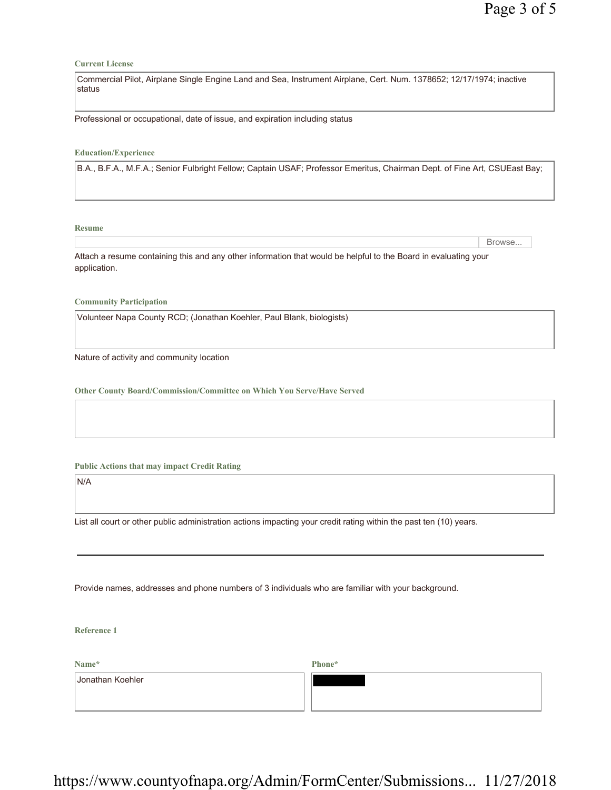#### **Current License**

Commercial Pilot, Airplane Single Engine Land and Sea, Instrument Airplane, Cert. Num. 1378652; 12/17/1974; inactive status

Professional or occupational, date of issue, and expiration including status

#### **Education/Experience**

B.A., B.F.A., M.F.A.; Senior Fulbright Fellow; Captain USAF; Professor Emeritus, Chairman Dept. of Fine Art, CSUEast Bay;

**Resume**

Browse...

Attach a resume containing this and any other information that would be helpful to the Board in evaluating your application.

**Community Participation**

Volunteer Napa County RCD; (Jonathan Koehler, Paul Blank, biologists)

Nature of activity and community location

**Other County Board/Commission/Committee on Which You Serve/Have Served**

**Public Actions that may impact Credit Rating**

N/A

List all court or other public administration actions impacting your credit rating within the past ten (10) years.

Provide names, addresses and phone numbers of 3 individuals who are familiar with your background.

**Reference 1**

**Name\***

**Phone\***

Jonathan Koehler

https://www.countyofnapa.org/Admin/FormCenter/Submissions... 11/27/2018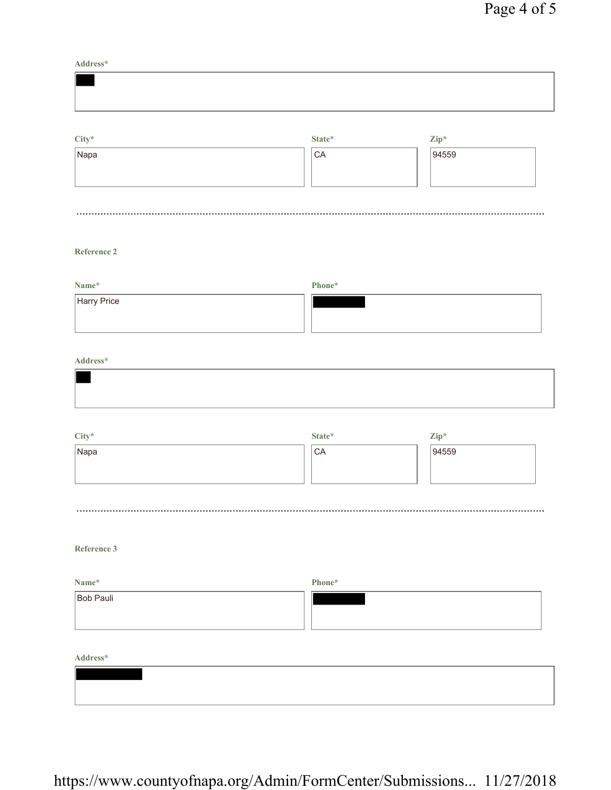**Address\***

| $City^*$<br>Napa | State*<br>CA | $\mathbf{Zip}^*$<br>94559 |
|------------------|--------------|---------------------------|
|                  |              |                           |

## **Reference 2**

| Name*       | Phone* |
|-------------|--------|
| Harry Price |        |

### **Address\***

| City* | State*          | $\mathbf{Zip}^*$ |
|-------|-----------------|------------------|
| Napa  | <sup>1</sup> CA | 94559            |
|       |                 |                  |
|       |                 |                  |

## **Reference 3**

| Name*     | Phone* |
|-----------|--------|
| Bob Pauli |        |
|           |        |
|           |        |

**Address\***